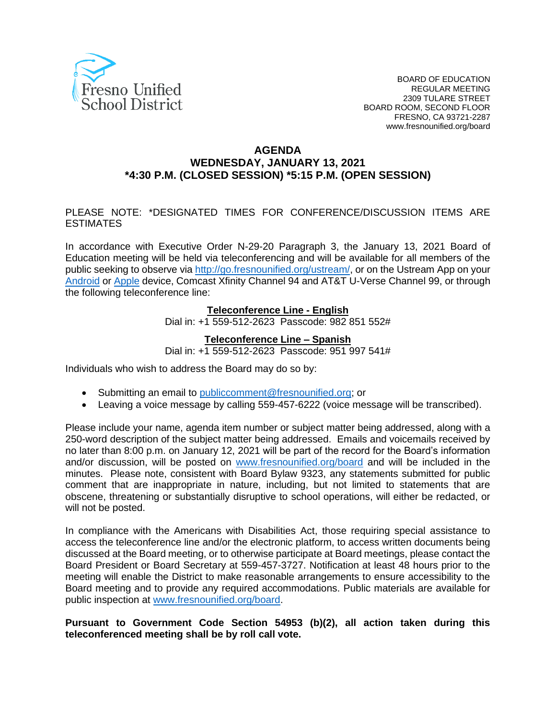

#### **AGENDA WEDNESDAY, JANUARY 13, 2021 \*4:30 P.M. (CLOSED SESSION) \*5:15 P.M. (OPEN SESSION)**

#### PLEASE NOTE: \*DESIGNATED TIMES FOR CONFERENCE/DISCUSSION ITEMS ARE ESTIMATES

In accordance with Executive Order N-29-20 Paragraph 3, the January 13, 2021 Board of Education meeting will be held via teleconferencing and will be available for all members of the public seeking to observe via [http://go.fresnounified.org/ustream/,](http://go.fresnounified.org/ustream/) or on the Ustream App on your [Android](https://play.google.com/store/apps/details?id=tv.ustream.ustream&hl=en_US) or [Apple](https://itunes.apple.com/us/app/ustream/id301520250?mt=8) device, Comcast Xfinity Channel 94 and AT&T U-Verse Channel 99, or through the following teleconference line:

#### **Teleconference Line - English**

Dial in: +1 559-512-2623 Passcode: 982 851 552#

#### **Teleconference Line – Spanish**

Dial in: +1 559-512-2623 Passcode: 951 997 541#

Individuals who wish to address the Board may do so by:

- Submitting an email to [publiccomment@fresnounified.org;](mailto:publiccomment@fresnounified.org) or
- Leaving a voice message by calling 559-457-6222 (voice message will be transcribed).

Please include your name, agenda item number or subject matter being addressed, along with a 250-word description of the subject matter being addressed. Emails and voicemails received by no later than 8:00 p.m. on January 12, 2021 will be part of the record for the Board's information and/or discussion, will be posted on [www.fresnounified.org/board](http://www.fresnounified.org/board) and will be included in the minutes. Please note, consistent with Board Bylaw 9323, any statements submitted for public comment that are inappropriate in nature, including, but not limited to statements that are obscene, threatening or substantially disruptive to school operations, will either be redacted, or will not be posted.

In compliance with the Americans with Disabilities Act, those requiring special assistance to access the teleconference line and/or the electronic platform, to access written documents being discussed at the Board meeting, or to otherwise participate at Board meetings, please contact the Board President or Board Secretary at 559-457-3727. Notification at least 48 hours prior to the meeting will enable the District to make reasonable arrangements to ensure accessibility to the Board meeting and to provide any required accommodations. Public materials are available for public inspection at [www.fresnounified.org/board.](http://www.fresnounified.org/board)

#### **Pursuant to Government Code Section 54953 (b)(2), all action taken during this teleconferenced meeting shall be by roll call vote.**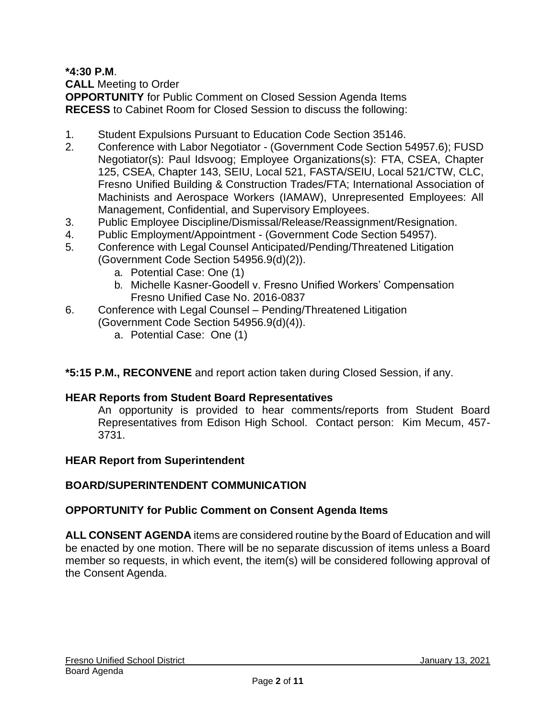**\*4:30 P.M**.

**CALL** Meeting to Order

**OPPORTUNITY** for Public Comment on Closed Session Agenda Items **RECESS** to Cabinet Room for Closed Session to discuss the following:

- 1. Student Expulsions Pursuant to Education Code Section 35146.
- 2. Conference with Labor Negotiator (Government Code Section 54957.6); FUSD Negotiator(s): Paul Idsvoog; Employee Organizations(s): FTA, CSEA, Chapter 125, CSEA, Chapter 143, SEIU, Local 521, FASTA/SEIU, Local 521/CTW, CLC, Fresno Unified Building & Construction Trades/FTA; International Association of Machinists and Aerospace Workers (IAMAW), Unrepresented Employees: All Management, Confidential, and Supervisory Employees.
- 3. Public Employee Discipline/Dismissal/Release/Reassignment/Resignation.
- 4. Public Employment/Appointment (Government Code Section 54957).
- 5. Conference with Legal Counsel Anticipated/Pending/Threatened Litigation (Government Code Section 54956.9(d)(2)).
	- a. Potential Case: One (1)
	- b. Michelle Kasner-Goodell v. Fresno Unified Workers' Compensation Fresno Unified Case No. 2016-0837
- 6. Conference with Legal Counsel Pending/Threatened Litigation (Government Code Section 54956.9(d)(4)).
	- a. Potential Case: One (1)

### **\*5:15 P.M., RECONVENE** and report action taken during Closed Session, if any.

### **HEAR Reports from Student Board Representatives**

An opportunity is provided to hear comments/reports from Student Board Representatives from Edison High School. Contact person: Kim Mecum, 457- 3731.

### **HEAR Report from Superintendent**

### **BOARD/SUPERINTENDENT COMMUNICATION**

#### **OPPORTUNITY for Public Comment on Consent Agenda Items**

**ALL CONSENT AGENDA** items are considered routine by the Board of Education and will be enacted by one motion. There will be no separate discussion of items unless a Board member so requests, in which event, the item(s) will be considered following approval of the Consent Agenda.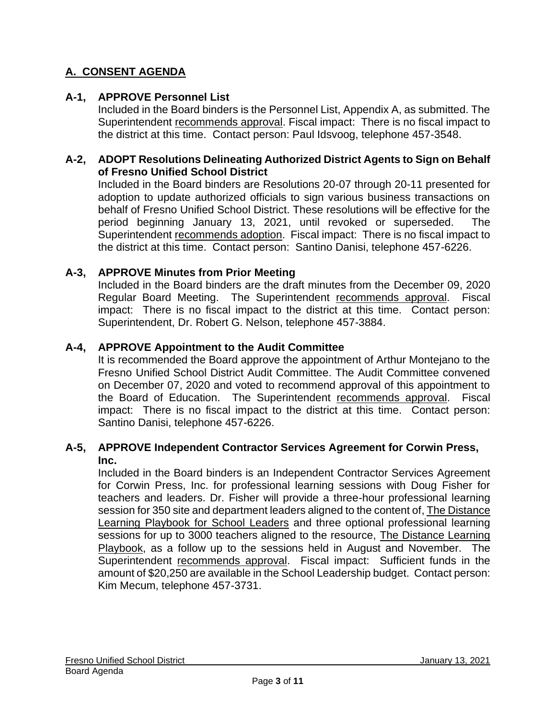# **A. CONSENT AGENDA**

### **A-1, APPROVE Personnel List**

Included in the Board binders is the Personnel List, Appendix A, as submitted. The Superintendent recommends approval. Fiscal impact: There is no fiscal impact to the district at this time. Contact person: Paul Idsvoog, telephone 457-3548.

### **A-2, ADOPT Resolutions Delineating Authorized District Agents to Sign on Behalf of Fresno Unified School District**

Included in the Board binders are Resolutions 20-07 through 20-11 presented for adoption to update authorized officials to sign various business transactions on behalf of Fresno Unified School District. These resolutions will be effective for the period beginning January 13, 2021, until revoked or superseded. The Superintendent recommends adoption. Fiscal impact: There is no fiscal impact to the district at this time. Contact person: Santino Danisi, telephone 457-6226.

### **A-3, APPROVE Minutes from Prior Meeting**

Included in the Board binders are the draft minutes from the December 09, 2020 Regular Board Meeting. The Superintendent recommends approval. Fiscal impact: There is no fiscal impact to the district at this time. Contact person: Superintendent, Dr. Robert G. Nelson, telephone 457-3884.

## **A-4, APPROVE Appointment to the Audit Committee**

It is recommended the Board approve the appointment of Arthur Montejano to the Fresno Unified School District Audit Committee. The Audit Committee convened on December 07, 2020 and voted to recommend approval of this appointment to the Board of Education. The Superintendent recommends approval. Fiscal impact: There is no fiscal impact to the district at this time. Contact person: Santino Danisi, telephone 457-6226.

### **A-5, APPROVE Independent Contractor Services Agreement for Corwin Press, Inc.**

Included in the Board binders is an Independent Contractor Services Agreement for Corwin Press, Inc. for professional learning sessions with Doug Fisher for teachers and leaders. Dr. Fisher will provide a three-hour professional learning session for 350 site and department leaders aligned to the content of, The Distance Learning Playbook for School Leaders and three optional professional learning sessions for up to 3000 teachers aligned to the resource, The Distance Learning Playbook, as a follow up to the sessions held in August and November. The Superintendent recommends approval. Fiscal impact: Sufficient funds in the amount of \$20,250 are available in the School Leadership budget. Contact person: Kim Mecum, telephone 457-3731.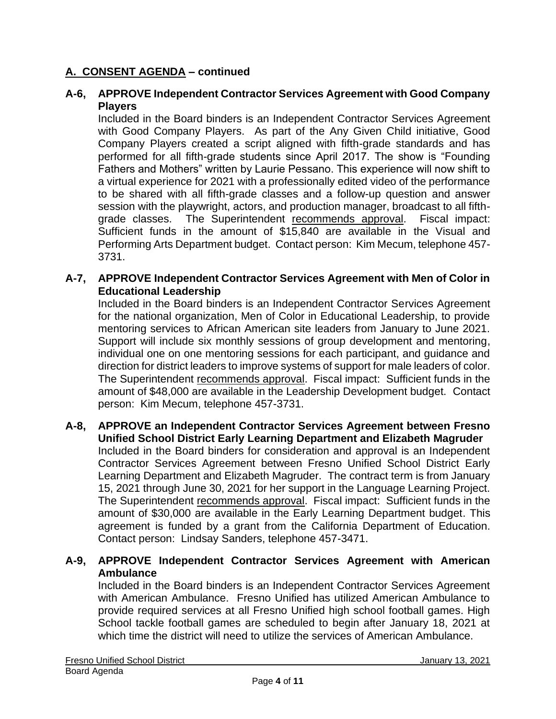### **A-6, APPROVE Independent Contractor Services Agreement with Good Company Players**

Included in the Board binders is an Independent Contractor Services Agreement with Good Company Players. As part of the Any Given Child initiative, Good Company Players created a script aligned with fifth-grade standards and has performed for all fifth-grade students since April 2017. The show is "Founding Fathers and Mothers" written by Laurie Pessano. This experience will now shift to a virtual experience for 2021 with a professionally edited video of the performance to be shared with all fifth-grade classes and a follow-up question and answer session with the playwright, actors, and production manager, broadcast to all fifthgrade classes. The Superintendent recommends approval. Fiscal impact: Sufficient funds in the amount of \$15,840 are available in the Visual and Performing Arts Department budget. Contact person: Kim Mecum, telephone 457- 3731.

#### **A-7, APPROVE Independent Contractor Services Agreement with Men of Color in Educational Leadership**

Included in the Board binders is an Independent Contractor Services Agreement for the national organization, Men of Color in Educational Leadership, to provide mentoring services to African American site leaders from January to June 2021. Support will include six monthly sessions of group development and mentoring, individual one on one mentoring sessions for each participant, and guidance and direction for district leaders to improve systems of support for male leaders of color. The Superintendent recommends approval. Fiscal impact: Sufficient funds in the amount of \$48,000 are available in the Leadership Development budget. Contact person: Kim Mecum, telephone 457-3731.

## **A-8, APPROVE an Independent Contractor Services Agreement between Fresno Unified School District Early Learning Department and Elizabeth Magruder**

Included in the Board binders for consideration and approval is an Independent Contractor Services Agreement between Fresno Unified School District Early Learning Department and Elizabeth Magruder. The contract term is from January 15, 2021 through June 30, 2021 for her support in the Language Learning Project. The Superintendent recommends approval. Fiscal impact: Sufficient funds in the amount of \$30,000 are available in the Early Learning Department budget. This agreement is funded by a grant from the California Department of Education. Contact person: Lindsay Sanders, telephone 457-3471.

### **A-9, APPROVE Independent Contractor Services Agreement with American Ambulance**

Included in the Board binders is an Independent Contractor Services Agreement with American Ambulance. Fresno Unified has utilized American Ambulance to provide required services at all Fresno Unified high school football games. High School tackle football games are scheduled to begin after January 18, 2021 at which time the district will need to utilize the services of American Ambulance.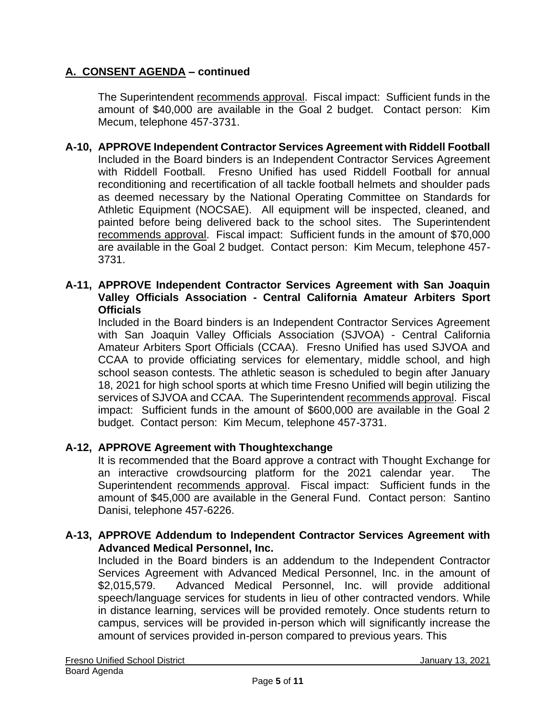The Superintendent recommends approval. Fiscal impact: Sufficient funds in the amount of \$40,000 are available in the Goal 2 budget. Contact person: Kim Mecum, telephone 457-3731.

- **A-10, APPROVE Independent Contractor Services Agreement with Riddell Football** Included in the Board binders is an Independent Contractor Services Agreement with Riddell Football. Fresno Unified has used Riddell Football for annual reconditioning and recertification of all tackle football helmets and shoulder pads as deemed necessary by the National Operating Committee on Standards for Athletic Equipment (NOCSAE). All equipment will be inspected, cleaned, and painted before being delivered back to the school sites. The Superintendent recommends approval. Fiscal impact: Sufficient funds in the amount of \$70,000 are available in the Goal 2 budget. Contact person: Kim Mecum, telephone 457- 3731.
- **A-11, APPROVE Independent Contractor Services Agreement with San Joaquin Valley Officials Association - Central California Amateur Arbiters Sport Officials**

Included in the Board binders is an Independent Contractor Services Agreement with San Joaquin Valley Officials Association (SJVOA) - Central California Amateur Arbiters Sport Officials (CCAA). Fresno Unified has used SJVOA and CCAA to provide officiating services for elementary, middle school, and high school season contests. The athletic season is scheduled to begin after January 18, 2021 for high school sports at which time Fresno Unified will begin utilizing the services of SJVOA and CCAA. The Superintendent recommends approval. Fiscal impact: Sufficient funds in the amount of \$600,000 are available in the Goal 2 budget. Contact person: Kim Mecum, telephone 457-3731.

### **A-12, APPROVE Agreement with Thoughtexchange**

It is recommended that the Board approve a contract with Thought Exchange for an interactive crowdsourcing platform for the 2021 calendar year. The Superintendent recommends approval. Fiscal impact: Sufficient funds in the amount of \$45,000 are available in the General Fund. Contact person: Santino Danisi, telephone 457-6226.

#### **A-13, APPROVE Addendum to Independent Contractor Services Agreement with Advanced Medical Personnel, Inc.**

Included in the Board binders is an addendum to the Independent Contractor Services Agreement with Advanced Medical Personnel, Inc. in the amount of \$2,015,579. Advanced Medical Personnel, Inc. will provide additional speech/language services for students in lieu of other contracted vendors. While in distance learning, services will be provided remotely. Once students return to campus, services will be provided in-person which will significantly increase the amount of services provided in-person compared to previous years. This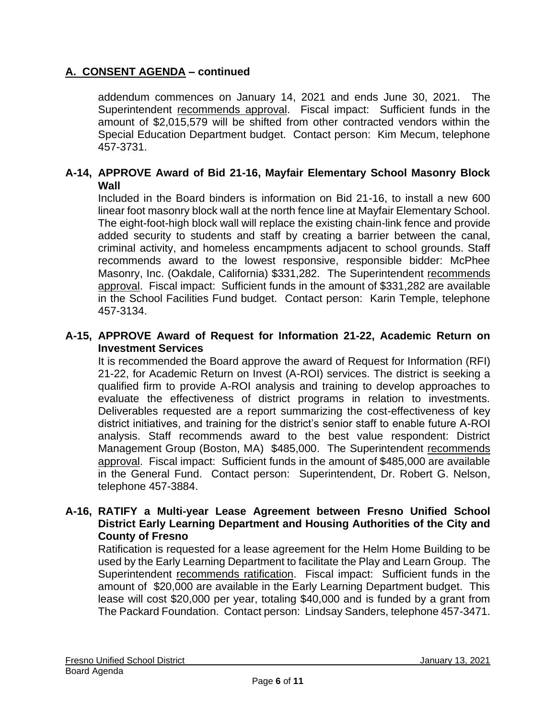addendum commences on January 14, 2021 and ends June 30, 2021. The Superintendent recommends approval. Fiscal impact: Sufficient funds in the amount of \$2,015,579 will be shifted from other contracted vendors within the Special Education Department budget. Contact person: Kim Mecum, telephone 457-3731.

### **A-14, APPROVE Award of Bid 21-16, Mayfair Elementary School Masonry Block Wall**

Included in the Board binders is information on Bid 21-16, to install a new 600 linear foot masonry block wall at the north fence line at Mayfair Elementary School. The eight-foot-high block wall will replace the existing chain-link fence and provide added security to students and staff by creating a barrier between the canal, criminal activity, and homeless encampments adjacent to school grounds. Staff recommends award to the lowest responsive, responsible bidder: McPhee Masonry, Inc. (Oakdale, California) \$331,282. The Superintendent recommends approval. Fiscal impact: Sufficient funds in the amount of \$331,282 are available in the School Facilities Fund budget. Contact person: Karin Temple, telephone 457-3134.

#### **A-15, APPROVE Award of Request for Information 21-22, Academic Return on Investment Services**

It is recommended the Board approve the award of Request for Information (RFI) 21-22, for Academic Return on Invest (A-ROI) services. The district is seeking a qualified firm to provide A-ROI analysis and training to develop approaches to evaluate the effectiveness of district programs in relation to investments. Deliverables requested are a report summarizing the cost-effectiveness of key district initiatives, and training for the district's senior staff to enable future A-ROI analysis. Staff recommends award to the best value respondent: District Management Group (Boston, MA) \$485,000. The Superintendent recommends approval. Fiscal impact: Sufficient funds in the amount of \$485,000 are available in the General Fund. Contact person: Superintendent, Dr. Robert G. Nelson, telephone 457-3884.

#### **A-16, RATIFY a Multi-year Lease Agreement between Fresno Unified School District Early Learning Department and Housing Authorities of the City and County of Fresno**

Ratification is requested for a lease agreement for the Helm Home Building to be used by the Early Learning Department to facilitate the Play and Learn Group. The Superintendent recommends ratification. Fiscal impact: Sufficient funds in the amount of \$20,000 are available in the Early Learning Department budget. This lease will cost \$20,000 per year, totaling \$40,000 and is funded by a grant from The Packard Foundation. Contact person: Lindsay Sanders, telephone 457-3471.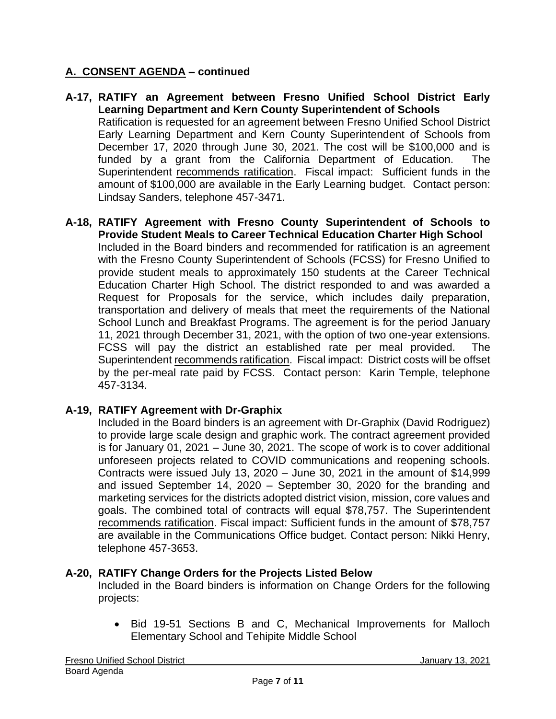- **A-17, RATIFY an Agreement between Fresno Unified School District Early Learning Department and Kern County Superintendent of Schools** Ratification is requested for an agreement between Fresno Unified School District Early Learning Department and Kern County Superintendent of Schools from December 17, 2020 through June 30, 2021. The cost will be \$100,000 and is funded by a grant from the California Department of Education. The Superintendent recommends ratification. Fiscal impact: Sufficient funds in the amount of \$100,000 are available in the Early Learning budget. Contact person: Lindsay Sanders, telephone 457-3471.
- **A-18, RATIFY Agreement with Fresno County Superintendent of Schools to Provide Student Meals to Career Technical Education Charter High School** Included in the Board binders and recommended for ratification is an agreement with the Fresno County Superintendent of Schools (FCSS) for Fresno Unified to provide student meals to approximately 150 students at the Career Technical Education Charter High School. The district responded to and was awarded a Request for Proposals for the service, which includes daily preparation, transportation and delivery of meals that meet the requirements of the National School Lunch and Breakfast Programs. The agreement is for the period January 11, 2021 through December 31, 2021, with the option of two one-year extensions. FCSS will pay the district an established rate per meal provided. The Superintendent recommends ratification. Fiscal impact: District costs will be offset by the per-meal rate paid by FCSS. Contact person: Karin Temple, telephone 457-3134.

### **A-19, RATIFY Agreement with Dr-Graphix**

Included in the Board binders is an agreement with Dr-Graphix (David Rodriguez) to provide large scale design and graphic work. The contract agreement provided is for January 01, 2021 – June 30, 2021. The scope of work is to cover additional unforeseen projects related to COVID communications and reopening schools. Contracts were issued July 13, 2020 – June 30, 2021 in the amount of \$14,999 and issued September 14, 2020 – September 30, 2020 for the branding and marketing services for the districts adopted district vision, mission, core values and goals. The combined total of contracts will equal \$78,757. The Superintendent recommends ratification. Fiscal impact: Sufficient funds in the amount of \$78,757 are available in the Communications Office budget. Contact person: Nikki Henry, telephone 457-3653.

### **A-20, RATIFY Change Orders for the Projects Listed Below**

Included in the Board binders is information on Change Orders for the following projects:

• Bid 19-51 Sections B and C, Mechanical Improvements for Malloch Elementary School and Tehipite Middle School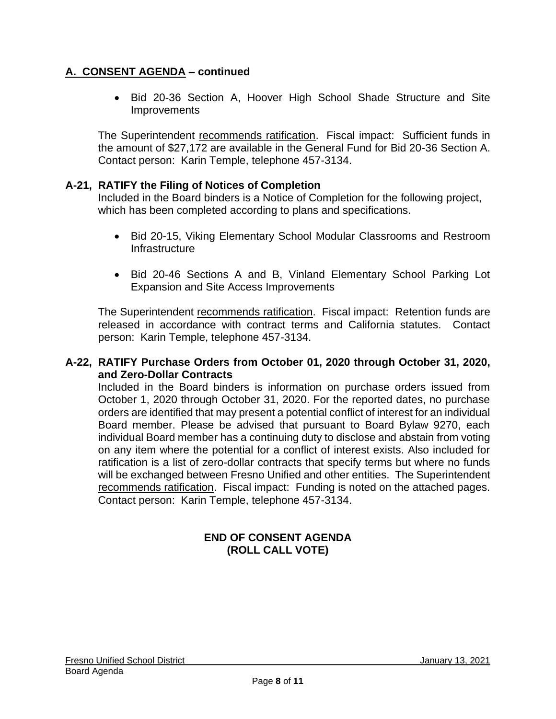• Bid 20-36 Section A, Hoover High School Shade Structure and Site **Improvements** 

The Superintendent recommends ratification. Fiscal impact: Sufficient funds in the amount of \$27,172 are available in the General Fund for Bid 20-36 Section A. Contact person: Karin Temple, telephone 457-3134.

### **A-21, RATIFY the Filing of Notices of Completion**

Included in the Board binders is a Notice of Completion for the following project, which has been completed according to plans and specifications.

- Bid 20-15, Viking Elementary School Modular Classrooms and Restroom Infrastructure
- Bid 20-46 Sections A and B, Vinland Elementary School Parking Lot Expansion and Site Access Improvements

The Superintendent recommends ratification. Fiscal impact: Retention funds are released in accordance with contract terms and California statutes. Contact person: Karin Temple, telephone 457-3134.

### **A-22, RATIFY Purchase Orders from October 01, 2020 through October 31, 2020, and Zero-Dollar Contracts**

Included in the Board binders is information on purchase orders issued from October 1, 2020 through October 31, 2020. For the reported dates, no purchase orders are identified that may present a potential conflict of interest for an individual Board member. Please be advised that pursuant to Board Bylaw 9270, each individual Board member has a continuing duty to disclose and abstain from voting on any item where the potential for a conflict of interest exists. Also included for ratification is a list of zero-dollar contracts that specify terms but where no funds will be exchanged between Fresno Unified and other entities. The Superintendent recommends ratification. Fiscal impact: Funding is noted on the attached pages. Contact person: Karin Temple, telephone 457-3134.

### **END OF CONSENT AGENDA (ROLL CALL VOTE)**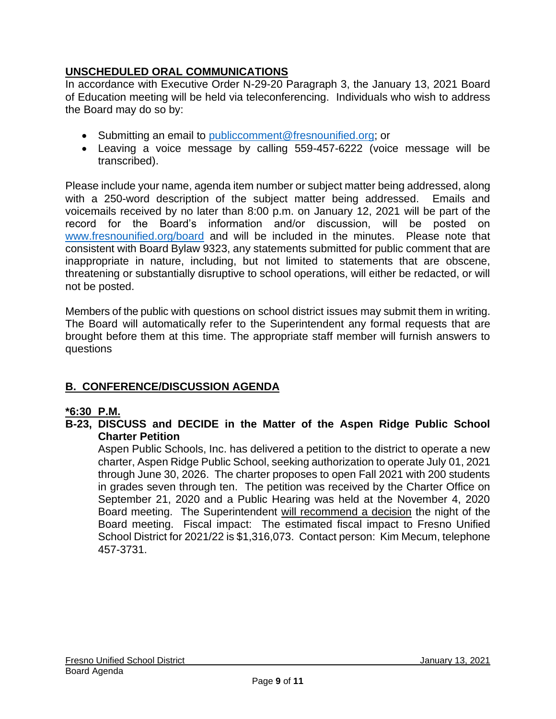# **UNSCHEDULED ORAL COMMUNICATIONS**

In accordance with Executive Order N-29-20 Paragraph 3, the January 13, 2021 Board of Education meeting will be held via teleconferencing. Individuals who wish to address the Board may do so by:

- Submitting an email to [publiccomment@fresnounified.org;](mailto:publiccomment@fresnounified.org) or
- Leaving a voice message by calling 559-457-6222 (voice message will be transcribed).

Please include your name, agenda item number or subject matter being addressed, along with a 250-word description of the subject matter being addressed. Emails and voicemails received by no later than 8:00 p.m. on January 12, 2021 will be part of the record for the Board's information and/or discussion, will be posted on [www.fresnounified.org/board](http://www.fresnounified.org/board) and will be included in the minutes. Please note that consistent with Board Bylaw 9323, any statements submitted for public comment that are inappropriate in nature, including, but not limited to statements that are obscene, threatening or substantially disruptive to school operations, will either be redacted, or will not be posted.

Members of the public with questions on school district issues may submit them in writing. The Board will automatically refer to the Superintendent any formal requests that are brought before them at this time. The appropriate staff member will furnish answers to questions

# **B. CONFERENCE/DISCUSSION AGENDA**

### **\*6:30 P.M.**

**B-23, DISCUSS and DECIDE in the Matter of the Aspen Ridge Public School Charter Petition**

Aspen Public Schools, Inc. has delivered a petition to the district to operate a new charter, Aspen Ridge Public School, seeking authorization to operate July 01, 2021 through June 30, 2026. The charter proposes to open Fall 2021 with 200 students in grades seven through ten. The petition was received by the Charter Office on September 21, 2020 and a Public Hearing was held at the November 4, 2020 Board meeting. The Superintendent will recommend a decision the night of the Board meeting. Fiscal impact: The estimated fiscal impact to Fresno Unified School District for 2021/22 is \$1,316,073. Contact person: Kim Mecum, telephone 457-3731.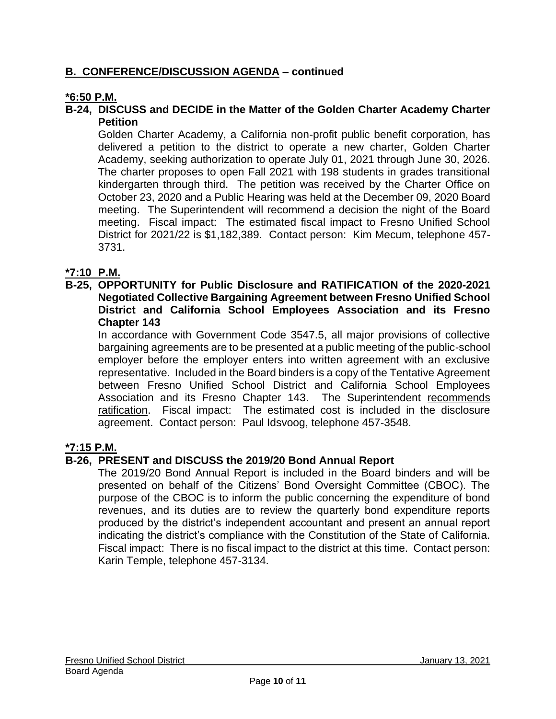## **B. CONFERENCE/DISCUSSION AGENDA – continued**

### **\*6:50 P.M.**

### **B-24, DISCUSS and DECIDE in the Matter of the Golden Charter Academy Charter Petition**

Golden Charter Academy, a California non-profit public benefit corporation, has delivered a petition to the district to operate a new charter, Golden Charter Academy, seeking authorization to operate July 01, 2021 through June 30, 2026. The charter proposes to open Fall 2021 with 198 students in grades transitional kindergarten through third. The petition was received by the Charter Office on October 23, 2020 and a Public Hearing was held at the December 09, 2020 Board meeting. The Superintendent will recommend a decision the night of the Board meeting. Fiscal impact: The estimated fiscal impact to Fresno Unified School District for 2021/22 is \$1,182,389. Contact person: Kim Mecum, telephone 457- 3731.

### **\*7:10 P.M.**

**B-25, OPPORTUNITY for Public Disclosure and RATIFICATION of the 2020-2021 Negotiated Collective Bargaining Agreement between Fresno Unified School District and California School Employees Association and its Fresno Chapter 143**

In accordance with Government Code 3547.5, all major provisions of collective bargaining agreements are to be presented at a public meeting of the public-school employer before the employer enters into written agreement with an exclusive representative. Included in the Board binders is a copy of the Tentative Agreement between Fresno Unified School District and California School Employees Association and its Fresno Chapter 143. The Superintendent recommends ratification. Fiscal impact: The estimated cost is included in the disclosure agreement. Contact person: Paul Idsvoog, telephone 457-3548.

#### **\*7:15 P.M.**

#### **B-26, PRESENT and DISCUSS the 2019/20 Bond Annual Report**

The 2019/20 Bond Annual Report is included in the Board binders and will be presented on behalf of the Citizens' Bond Oversight Committee (CBOC). The purpose of the CBOC is to inform the public concerning the expenditure of bond revenues, and its duties are to review the quarterly bond expenditure reports produced by the district's independent accountant and present an annual report indicating the district's compliance with the Constitution of the State of California. Fiscal impact: There is no fiscal impact to the district at this time. Contact person: Karin Temple, telephone 457-3134.